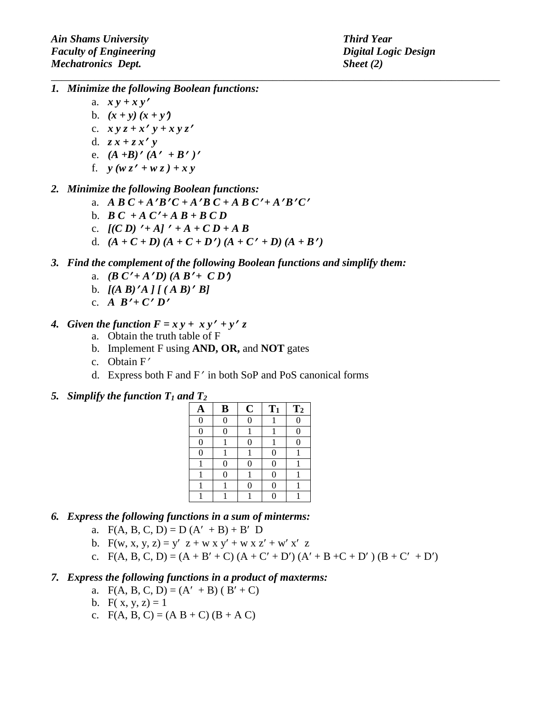- *1. Minimize the following Boolean functions:*
	- a. *x y + x y*′
	- b.  $(x + y)(x + y)$
	- c. *x y z + x*′ *y + x y z*′
	- d. *z x + z x*′ *y*
	- e. *(A +B)*′ *(A*′ *+ B*′ *)*′
	- f. *y (w z*′ *+ w z ) + x y*

## *2. Minimize the following Boolean functions:*

- a. *A B C + A'B'C + A'B C + A B C' + A'B'C'*
- b.  $B C + A C' + A B + B C D$
- c.  $[(CD)' + A]' + A + CD + AB$
- d.  $(A + C + D) (A + C + D') (A + C' + D) (A + B')$
- *3. Find the complement of the following Boolean functions and simplify them:*

*\_\_\_\_\_\_\_\_\_\_\_\_\_\_\_\_\_\_\_\_\_\_\_\_\_\_\_\_\_\_\_\_\_\_\_\_\_\_\_\_\_\_\_\_\_\_\_\_\_\_\_\_\_\_\_\_\_\_\_\_\_\_\_\_\_\_\_\_\_\_\_\_\_\_\_\_\_\_\_\_\_\_\_*

- a. *(B C'*+*A'D)*  $(A B' + C D')$
- b.  $[(A \ B)'A] [ (A \ B)'B]$
- c. *A*  $B' + C' D'$
- *4. Given the function*  $F = x y + x y' + y' z$ 
	- a. Obtain the truth table of F
	- b. Implement F using **AND, OR,** and **NOT** gates
	- c. Obtain F′
	- d. Express both F and F′ in both SoP and PoS canonical forms

## 5. *Simplify the function*  $T_1$  *and*  $T_2$

| A        | B | $\mathbf C$ | $T_1$          | T <sub>2</sub> |
|----------|---|-------------|----------------|----------------|
| $\Omega$ | 0 | 0           |                |                |
| $\Omega$ | 0 |             |                | 0              |
| $\Omega$ |   | 0           |                | 0              |
| 0        |   |             | $\overline{0}$ |                |
|          | 0 | 0           | 0              |                |
|          | 0 |             | $\overline{0}$ |                |
|          |   | 0           | 0              |                |
|          |   |             | $\Omega$       |                |

- *6. Express the following functions in a sum of minterms:*
	- a.  $F(A, B, C, D) = D(A' + B) + B' D$
	- b. F(w, x, y, z) = y' z + w x y' + w x z' + w' x' z
	- c.  $F(A, B, C, D) = (A + B' + C) (A + C' + D') (A' + B + C + D') (B + C' + D')$
- *7. Express the following functions in a product of maxterms:*
	- a.  $F(A, B, C, D) = (A' + B) (B' + C)$
	- b. F( x, y, z) = 1
	- c.  $F(A, B, C) = (A B + C) (B + A C)$